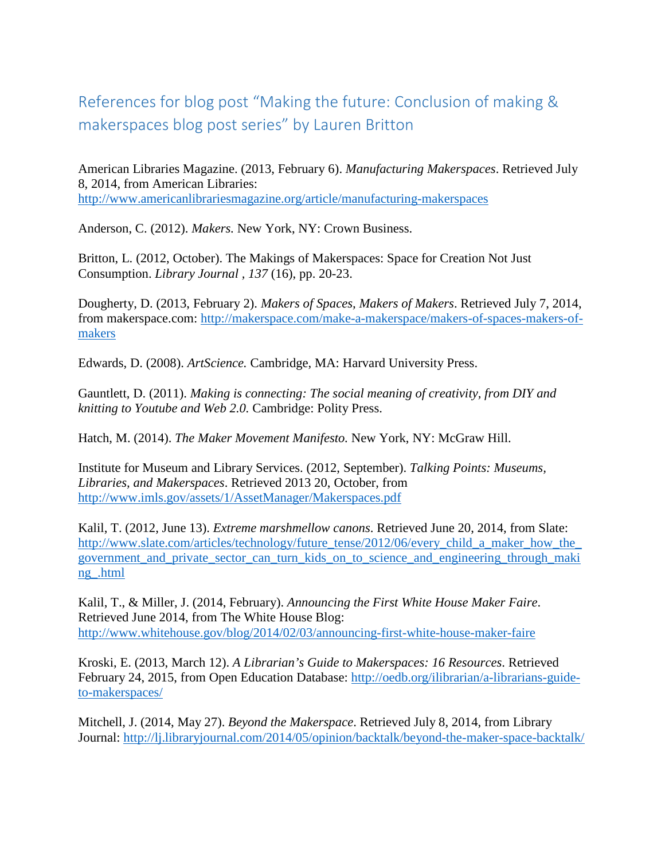## References for blog post "Making the future: Conclusion of making & makerspaces blog post series" by Lauren Britton

American Libraries Magazine. (2013, February 6). *Manufacturing Makerspaces*. Retrieved July 8, 2014, from American Libraries: <http://www.americanlibrariesmagazine.org/article/manufacturing-makerspaces>

Anderson, C. (2012). *Makers.* New York, NY: Crown Business.

Britton, L. (2012, October). The Makings of Makerspaces: Space for Creation Not Just Consumption. *Library Journal , 137* (16), pp. 20-23.

Dougherty, D. (2013, February 2). *Makers of Spaces, Makers of Makers*. Retrieved July 7, 2014, from makerspace.com: [http://makerspace.com/make-a-makerspace/makers-of-spaces-makers-of](http://makerspace.com/make-a-makerspace/makers-of-spaces-makers-of-makers)[makers](http://makerspace.com/make-a-makerspace/makers-of-spaces-makers-of-makers)

Edwards, D. (2008). *ArtScience.* Cambridge, MA: Harvard University Press.

Gauntlett, D. (2011). *Making is connecting: The social meaning of creativity, from DIY and knitting to Youtube and Web 2.0.* Cambridge: Polity Press.

Hatch, M. (2014). *The Maker Movement Manifesto.* New York, NY: McGraw Hill.

Institute for Museum and Library Services. (2012, September). *Talking Points: Museums, Libraries, and Makerspaces*. Retrieved 2013 20, October, from <http://www.imls.gov/assets/1/AssetManager/Makerspaces.pdf>

Kalil, T. (2012, June 13). *Extreme marshmellow canons*. Retrieved June 20, 2014, from Slate: [http://www.slate.com/articles/technology/future\\_tense/2012/06/every\\_child\\_a\\_maker\\_how\\_the\\_](http://www.slate.com/articles/technology/future_tense/2012/06/every_child_a_maker_how_the_government_and_private_sector_can_turn_kids_on_to_science_and_engineering_through_making_.html) government and private sector can turn kids on to science and engineering through maki [ng\\_.html](http://www.slate.com/articles/technology/future_tense/2012/06/every_child_a_maker_how_the_government_and_private_sector_can_turn_kids_on_to_science_and_engineering_through_making_.html)

Kalil, T., & Miller, J. (2014, February). *Announcing the First White House Maker Faire*. Retrieved June 2014, from The White House Blog: <http://www.whitehouse.gov/blog/2014/02/03/announcing-first-white-house-maker-faire>

Kroski, E. (2013, March 12). *A Librarian's Guide to Makerspaces: 16 Resources*. Retrieved February 24, 2015, from Open Education Database: [http://oedb.org/ilibrarian/a-librarians-guide](http://oedb.org/ilibrarian/a-librarians-guide-to-makerspaces/)[to-makerspaces/](http://oedb.org/ilibrarian/a-librarians-guide-to-makerspaces/)

Mitchell, J. (2014, May 27). *Beyond the Makerspace*. Retrieved July 8, 2014, from Library Journal:<http://lj.libraryjournal.com/2014/05/opinion/backtalk/beyond-the-maker-space-backtalk/>